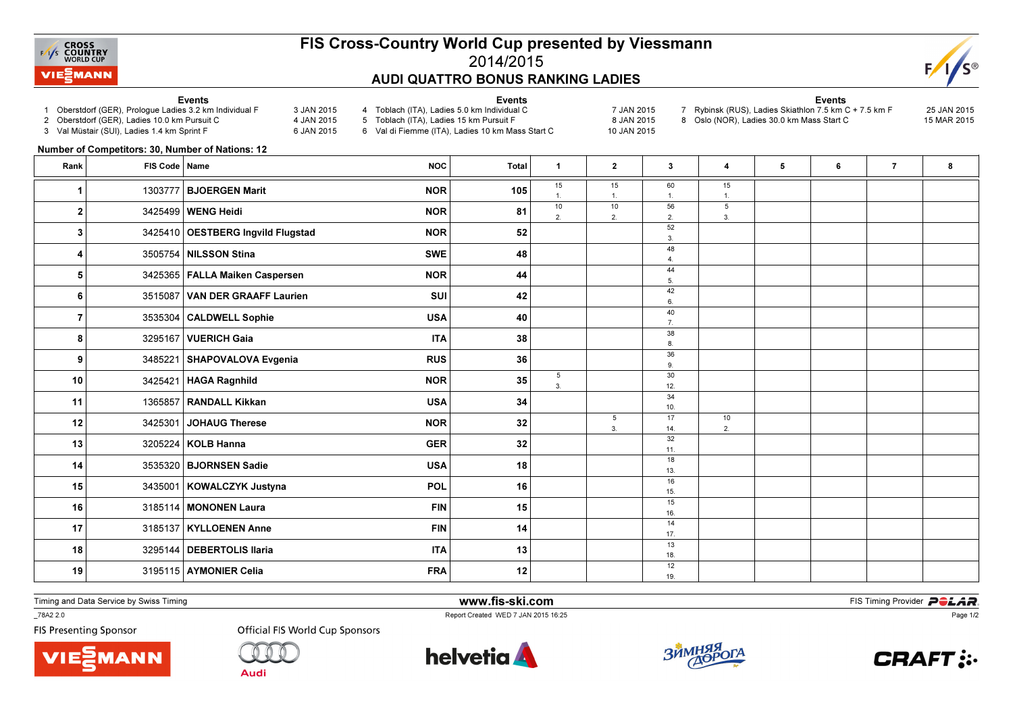

## FIS Cross-Country World Cup presented by Viessmann2014/2015AUDI QUATTRO BONUS RANKING LADIES

Events



## Events

- 1 Oberstdorf (GER), Prologue Ladies 3.2 km Individual F 3 JAN 2015
- 2 Oberstdorf (GER), Ladies 10.0 km Pursuit C
- 3 Val Müstair (SUI), Ladies 1.4 km Sprint F
- 4 Toblach (ITA), Ladies 5.0 km Individual C 7 JAN 2015
- 4 JAN 2015 6 JAN 2015 5 Toblach (ITA), Ladies 15 km Pursuit F
	- 6 Val di Fiemme (ITA), Ladies 10 km Mass Start C
- - 7 Rybinsk (RUS), Ladies Skiathlon 7.5 km C + 7.5 km F 25 JAN 20158 Oslo (NOR), Ladies 30.0 km Mass Start C
	-
- 
- 15 MAR 2015

- 8 JAN 2015 10 JAN 2015
- 

Events

## Number of Competitors: 30, Number of Nations: 12

| Rank           | FIS Code   Name |                                   | <b>NOC</b> | <b>Total</b> | $\blacktriangleleft$ | $\mathbf{2}$         | 3                    | 4                    | 5 | 6 | $\overline{7}$ | 8 |
|----------------|-----------------|-----------------------------------|------------|--------------|----------------------|----------------------|----------------------|----------------------|---|---|----------------|---|
| 1              | 1303777         | <b>BJOERGEN Marit</b>             | <b>NOR</b> | 105          | 15<br>$\overline{1}$ | 15<br>$\overline{1}$ | 60<br>$\mathbf{1}$   | 15<br>$\overline{1}$ |   |   |                |   |
| 2              |                 | 3425499 WENG Heidi                | <b>NOR</b> | 81           | 10<br>2.             | 10<br>2.             | 56<br>2.             | 5<br>3.              |   |   |                |   |
| 3              |                 | 3425410 OESTBERG Ingvild Flugstad | <b>NOR</b> | 52           |                      |                      | 52<br>3.             |                      |   |   |                |   |
| 4              |                 | 3505754 NILSSON Stina             | <b>SWE</b> | 48           |                      |                      | 48<br>$\overline{4}$ |                      |   |   |                |   |
| 5              |                 | 3425365   FALLA Maiken Caspersen  | <b>NOR</b> | 44           |                      |                      | 44<br>5.             |                      |   |   |                |   |
| 6              |                 | 3515087 VAN DER GRAAFF Laurien    | SUI        | 42           |                      |                      | 42<br>6.             |                      |   |   |                |   |
| $\overline{7}$ |                 | 3535304 CALDWELL Sophie           | <b>USA</b> | 40           |                      |                      | 40<br>7.             |                      |   |   |                |   |
| 8              |                 | 3295167 VUERICH Gaia              | <b>ITA</b> | 38           |                      |                      | 38<br>8.             |                      |   |   |                |   |
| 9              |                 | 3485221 SHAPOVALOVA Evgenia       | <b>RUS</b> | 36           |                      |                      | 36<br>9.             |                      |   |   |                |   |
| 10             |                 | 3425421   HAGA Ragnhild           | <b>NOR</b> | 35           | 5<br>$\mathbf{3}$    |                      | 30<br>12.            |                      |   |   |                |   |
| 11             |                 | 1365857 RANDALL Kikkan            | <b>USA</b> | 34           |                      |                      | 34<br>10.            |                      |   |   |                |   |
| 12             | 3425301         | JOHAUG Therese                    | <b>NOR</b> | 32           |                      | 5<br>$\mathbf{3}$    | 17<br>14.            | 10<br>2.             |   |   |                |   |
| 13             |                 | 3205224   KOLB Hanna              | <b>GER</b> | 32           |                      |                      | 32<br>11.            |                      |   |   |                |   |
| 14             |                 | 3535320   BJORNSEN Sadie          | <b>USA</b> | 18           |                      |                      | 18<br>13.            |                      |   |   |                |   |
| 15             |                 | 3435001 KOWALCZYK Justyna         | POL        | 16           |                      |                      | 16<br>15.            |                      |   |   |                |   |
| 16             |                 | 3185114   MONONEN Laura           | <b>FIN</b> | 15           |                      |                      | 15<br>16.            |                      |   |   |                |   |
| 17             |                 | 3185137   KYLLOENEN Anne          | <b>FIN</b> | 14           |                      |                      | 14<br>17.            |                      |   |   |                |   |
| 18             |                 | 3295144   DEBERTOLIS Ilaria       | <b>ITA</b> | 13           |                      |                      | 13<br>18.            |                      |   |   |                |   |
| 19             |                 | 3195115 AYMONIER Celia            | <b>FRA</b> | 12           |                      |                      | 12<br>19.            |                      |   |   |                |   |

Timing and Data Service by Swiss Timing

MANN

\_78A2 2.0

**FIS Presenting Sponsor** 



**Audi** 



www.fis-ski.com

Report Created WED 7 JAN 2015 16:25



**m**<br>FIS Timing Provider<br>FIS Timing Provider



Page 1/2